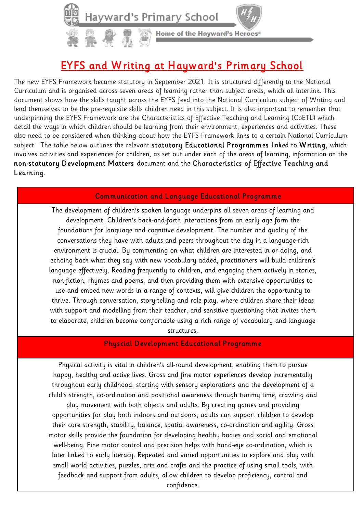

Home of the Hayward's Heroes®

# EYFS and W riting at Hayward's Primary School

The new EYFS Framework became statutory in September 2021. It is structured differently to the National Curriculum and is organised across seven areas of learning rather than subject areas, which all interlink. This document shows how the skills taught across the EYFS feed into the National Curriculum subject of Writing and lend themselves to be the pre-requisite skills children need in this subject. It is also important to remember that underpinning the EYFS Framework are the Characteristics of Effective Teaching and Learning (CoETL) which detail the ways in which children should be learning from their environment, experiences and activities. These also need to be considered when thinking about how the EYFS Framework links to a certain National Curriculum subject. The table below outlines the relevant statutory Educational Programmes linked to Writing, which involves activities and experiences for children, as set out under each of the areas of learning, information on the non-statutory Development Matters document and the Characteristics of Effective Teaching and Learning.

### Communication and Language Educational Programme

The development of children's spoken language underpins all seven areas of learning and development. Children's back-and-forth interactions from an early age form the foundations for language and cognitive development. The number and quality of the conversations they have with adults and peers throughout the day in a language-rich environment is crucial. By commenting on what children are interested in or doing, and echoing back what they say with new vocabulary added, practitioners will build children's language effectively. Reading frequently to children, and engaging them actively in stories, non-fiction, rhymes and poems, and then providing them with extensive opportunities to use and embed new words in a range of contexts, will give children the opportunity to thrive. Through conversation, story-telling and role play, where children share their ideas with support and modelling from their teacher, and sensitive questioning that invites them to elaborate, children become comfortable using a rich range of vocabulary and language structures.

Physcial Development Educational Programme

Physical activity is vital in children's all-round development, enabling them to pursue happy, healthy and active lives. Gross and fine motor experiences develop incrementally throughout early childhood, starting with sensory explorations and the development of a child's strength, co-ordination and positional awareness through tummy time, crawling and play movement with both objects and adults. By creating games and providing opportunities for play both indoors and outdoors, adults can support children to develop their core strength, stability, balance, spatial awareness, co-ordination and agility. Gross motor skills provide the foundation for developing healthy bodies and social and emotional well-being. Fine motor control and precision helps with hand-eye co-ordination, which is later linked to early literacy. Repeated and varied opportunities to explore and play with small world activities, puzzles, arts and crafts and the practice of using small tools, with feedback and support from adults, allow children to develop proficiency, control and confidence.